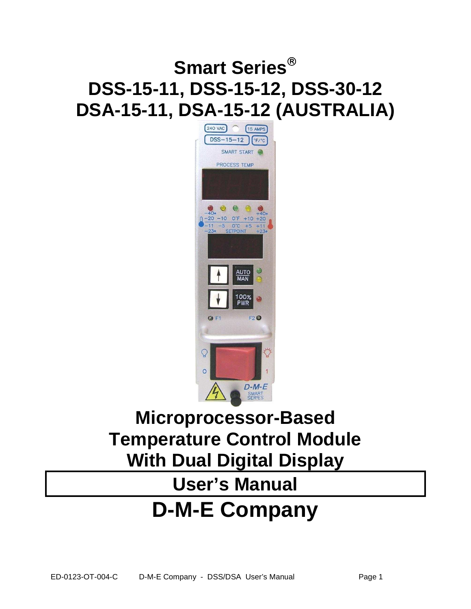### **Smart Series DSS-15-11, DSS-15-12, DSS-30-12 DSA-15-11, DSA-15-12 (AUSTRALIA)**



### **Microprocessor-Based Temperature Control Module With Dual Digital Display**

# **User's Manual**

## **D-M-E Company**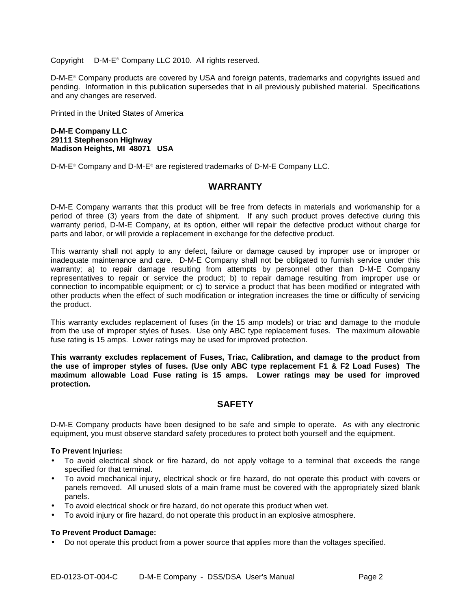Copyright © D-M-E<sup>®</sup> Company LLC 2010. All rights reserved.

D-M-E Company products are covered by USA and foreign patents, trademarks and copyrights issued and pending. Information in this publication supersedes that in all previously published material. Specifications and any changes are reserved.

Printed in the United States of America

#### **D-M-E Company LLC 29111 Stephenson Highway Madison Heights, MI 48071 USA**

D-M-E<sup>®</sup> Company and D-M-E<sup>®</sup> are registered trademarks of D-M-E Company LLC.

#### **WARRANTY**

D-M-E Company warrants that this product will be free from defects in materials and workmanship for a period of three (3) years from the date of shipment. If any such product proves defective during this warranty period, D-M-E Company, at its option, either will repair the defective product without charge for parts and labor, or will provide a replacement in exchange for the defective product.

This warranty shall not apply to any defect, failure or damage caused by improper use or improper or inadequate maintenance and care. D-M-E Company shall not be obligated to furnish service under this warranty; a) to repair damage resulting from attempts by personnel other than D-M-E Company representatives to repair or service the product; b) to repair damage resulting from improper use or connection to incompatible equipment; or c) to service a product that has been modified or integrated with other products when the effect of such modification or integration increases the time or difficulty of servicing the product.

This warranty excludes replacement of fuses (in the 15 amp models) or triac and damage to the module from the use of improper styles of fuses. Use only ABC type replacement fuses. The maximum allowable fuse rating is 15 amps. Lower ratings may be used for improved protection.

**This warranty excludes replacement of Fuses, Triac, Calibration, and damage to the product from the use of improper styles of fuses. (Use only ABC type replacement F1 & F2 Load Fuses) The maximum allowable Load Fuse rating is 15 amps. Lower ratings may be used for improved protection.** 

#### **SAFETY**

D-M-E Company products have been designed to be safe and simple to operate. As with any electronic equipment, you must observe standard safety procedures to protect both yourself and the equipment.

#### **To Prevent Injuries:**

- To avoid electrical shock or fire hazard, do not apply voltage to a terminal that exceeds the range specified for that terminal.
- To avoid mechanical injury, electrical shock or fire hazard, do not operate this product with covers or panels removed. All unused slots of a main frame must be covered with the appropriately sized blank panels.
- To avoid electrical shock or fire hazard, do not operate this product when wet.
- To avoid injury or fire hazard, do not operate this product in an explosive atmosphere.

#### **To Prevent Product Damage:**

• Do not operate this product from a power source that applies more than the voltages specified.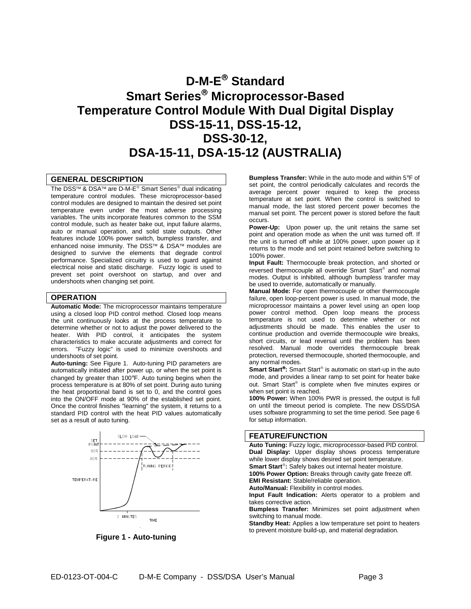### **D-M-E Standard Smart Series Microprocessor-Based Temperature Control Module With Dual Digital Display DSS-15-11, DSS-15-12, DSS-30-12, DSA-15-11, DSA-15-12 (AUSTRALIA)**

#### **GENERAL DESCRIPTION**

The DSS™ & DSA™ are D-M-E® Smart Series® dual indicating temperature control modules. These microprocessor-based control modules are designed to maintain the desired set point temperature even under the most adverse processing variables. The units incorporate features common to the SSM control module, such as heater bake out, input failure alarms, auto or manual operation, and solid state outputs. Other features include 100% power switch, bumpless transfer, and enhanced noise immunity. The DSS™ & DSA™ modules are designed to survive the elements that degrade control performance. Specialized circuitry is used to guard against electrical noise and static discharge. Fuzzy logic is used to prevent set point overshoot on startup, and over and undershoots when changing set point.

#### **OPERATION**

**Automatic Mode:** The microprocessor maintains temperature using a closed loop PID control method. Closed loop means the unit continuously looks at the process temperature to determine whether or not to adjust the power delivered to the heater. With PID control, it anticipates the system characteristics to make accurate adjustments and correct for errors. "Fuzzy logic" is used to minimize overshoots and undershoots of set point.

**Auto-tuning:** See Figure 1. Auto-tuning PID parameters are automatically initiated after power up, or when the set point is changed by greater than 100°F. Auto tuning begins when the process temperature is at 80% of set point. During auto tuning the heat proportional band is set to 0, and the control goes into the ON/OFF mode at 90% of the established set point. Once the control finishes "learning" the system, it returns to a standard PID control with the heat PID values automatically set as a result of auto tuning.



**Figure 1 - Auto-tuning**

**Bumpless Transfer:** While in the auto mode and within 5°F of set point, the control periodically calculates and records the average percent power required to keep the process temperature at set point. When the control is switched to manual mode, the last stored percent power becomes the manual set point. The percent power is stored before the fault occurs.

**Power-Up:** Upon power up, the unit retains the same set point and operation mode as when the unit was turned off. If the unit is turned off while at 100% power, upon power up it returns to the mode and set point retained before switching to 100% power.

**Input Fault:** Thermocouple break protection, and shorted or reversed thermocouple all override Smart Start® and normal modes. Output is inhibited, although bumpless transfer may be used to override, automatically or manually.

**Manual Mode:** For open thermocouple or other thermocouple failure, open loop-percent power is used. In manual mode, the microprocessor maintains a power level using an open loop power control method. Open loop means the process temperature is not used to determine whether or not adjustments should be made. This enables the user to continue production and override thermocouple wire breaks, short circuits, or lead reversal until the problem has been resolved. Manual mode overrides thermocouple break protection, reversed thermocouple, shorted thermocouple, and any normal modes.

**Smart Start<sup>®</sup>:** Smart Start® is automatic on start-up in the auto mode, and provides a linear ramp to set point for heater bake out. Smart Start® is complete when five minutes expires or when set point is reached.

**100% Power:** When 100% PWR is pressed, the output is full on until the timeout period is complete. The new DSS/DSA uses software programming to set the time period. See page 6 for setup information.

#### **FEATURE/FUNCTION**

**Auto Tuning:** Fuzzy logic, microprocessor-based PID control. **Dual Display:** Upper display shows process temperature while lower display shows desired set point temperature. Smart Start<sup>®</sup>: Safely bakes out internal heater moisture. **100% Power Option:** Breaks through cavity gate freeze off. **EMI Resistant:** Stable/reliable operation. **Auto/Manual:** Flexibility in control modes.

**Input Fault Indication:** Alerts operator to a problem and takes corrective action.

**Bumpless Transfer:** Minimizes set point adjustment when switching to manual mode.

**Standby Heat:** Applies a low temperature set point to heaters to prevent moisture build-up, and material degradation.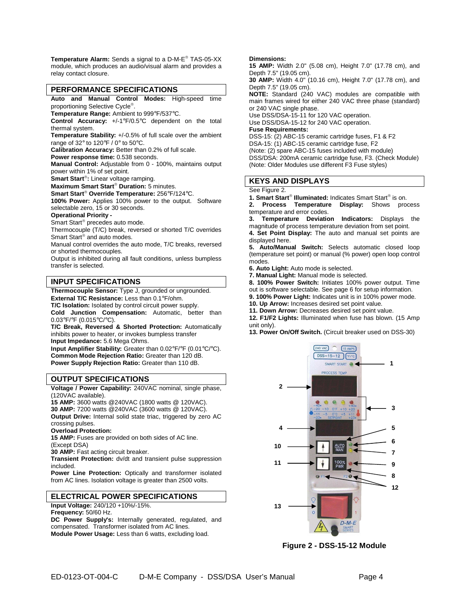**Temperature Alarm:** Sends a signal to a D-M-E TAS-05-XX module, which produces an audio/visual alarm and provides a relay contact closure.

#### **PERFORMANCE SPECIFICATIONS**

**Auto and Manual Control Modes:** High-speed time proportioning Selective Cycle<sup>®</sup>.

**Temperature Range:** Ambient to 999°F/537°C.

**Control Accuracy:** +/-1°F/0.5°C dependent on the total thermal system.

**Temperature Stability:** +/-0.5% of full scale over the ambient range of 32° to 120°F / 0° to 50°C.

**Calibration Accuracy:** Better than 0.2% of full scale.

**Power response time:** 0.538 seconds.

**Manual Control:** Adjustable from 0 - 100%, maintains output power within 1% of set point.

**Smart Start :** Linear voltage ramping.

**Maximum Smart Start<sup>®</sup> Duration:** 5 minutes.

**Smart Start Override Temperature:** 256°F/124°C.

**100% Power:** Applies 100% power to the output. Software selectable zero, 15 or 30 seconds.

#### **Operational Priority -**

Smart Start<sup>®</sup> precedes auto mode.

Thermocouple (T/C) break, reversed or shorted T/C overrides Smart Start® and auto modes.

Manual control overrides the auto mode, T/C breaks, reversed or shorted thermocouples.

Output is inhibited during all fault conditions, unless bumpless transfer is selected.

#### **INPUT SPECIFICATIONS**

**Thermocouple Sensor:** Type J, grounded or ungrounded.

**External T/C Resistance:** Less than 0.1°F/ohm.

**T/C Isolation:** Isolated by control circuit power supply.

**Cold Junction Compensation:** Automatic, better than 0.03°F/°F (0.015°C/°C).

**T/C Break, Reversed & Shorted Protection:** Automatically inhibits power to heater, or invokes bumpless transfer

**Input Impedance:** 5.6 Mega Ohms.

**Input Amplifier Stability:** Greater than 0.02°F/°F (0.01°C/°C). **Common Mode Rejection Ratio:** Greater than 120 dB. **Power Supply Rejection Ratio:** Greater than 110 dB.

#### **OUTPUT SPECIFICATIONS**

**Voltage / Power Capability:** 240VAC nominal, single phase, (120VAC available).

**15 AMP:** 3600 watts @240VAC (1800 watts @ 120VAC).

**30 AMP:** 7200 watts @240VAC (3600 watts @ 120VAC). **Output Drive:** Internal solid state triac, triggered by zero AC

crossing pulses.

**Overload Protection:** 

**15 AMP:** Fuses are provided on both sides of AC line. (Except DSA)

**30 AMP:** Fast acting circuit breaker.

**Transient Protection:** dv/dt and transient pulse suppression included.

**Power Line Protection:** Optically and transformer isolated from AC lines. Isolation voltage is greater than 2500 volts.

#### **ELECTRICAL POWER SPECIFICATIONS**

**Input Voltage:** 240/120 +10%/-15%.

**Frequency:** 50/60 Hz.

**DC Power Supply's:** Internally generated, regulated, and compensated. Transformer isolated from AC lines. **Module Power Usage:** Less than 6 watts, excluding load.

#### **Dimensions:**

**15 AMP:** Width 2.0" (5.08 cm), Height 7.0" (17.78 cm), and Depth 7.5" (19.05 cm).

**30 AMP:** Width 4.0" (10.16 cm), Height 7.0" (17.78 cm), and Depth 7.5" (19.05 cm).

**NOTE:** Standard (240 VAC) modules are compatible with main frames wired for either 240 VAC three phase (standard) or 240 VAC single phase.

Use DSS/DSA-15-11 for 120 VAC operation.

Use DSS/DSA-15-12 for 240 VAC operation.

#### **Fuse Requirements:**

DSS-15: (2) ABC-15 ceramic cartridge fuses, F1 & F2 DSA-15: (1) ABC-15 ceramic cartridge fuse, F2 (Note: (2) spare ABC-15 fuses included with module) DSS/DSA: 200mA ceramic cartridge fuse, F3. (Check Module) (Note: Older Modules use different F3 Fuse styles)

#### **KEYS AND DISPLAYS**

#### See Figure 2.

1. Smart Start<sup>®</sup> Illuminated: Indicates Smart Start<sup>®</sup> is on.

**2. Process Temperature Display:** Shows process temperature and error codes.<br>3. Temperature Deviation

**3. Temperature Deviation Indicators:** Displays the magnitude of process temperature deviation from set point.

**4. Set Point Display:** The auto and manual set points are displayed here.

**5. Auto/Manual Switch:** Selects automatic closed loop (temperature set point) or manual (% power) open loop control modes.

**6. Auto Light:** Auto mode is selected.

**7. Manual Light:** Manual mode is selected.

**8. 100% Power Switch:** Initiates 100% power output. Time

out is software selectable. See page 6 for setup information.

**9. 100% Power Light:** Indicates unit is in 100% power mode.

**10. Up Arrow:** Increases desired set point value.

**11. Down Arrow:** Decreases desired set point value.

**12. F1/F2 Lights:** Illuminated when fuse has blown. (15 Amp unit only).

**13. Power On/Off Switch.** (Circuit breaker used on DSS-30)



**Figure 2 - DSS-15-12 Module**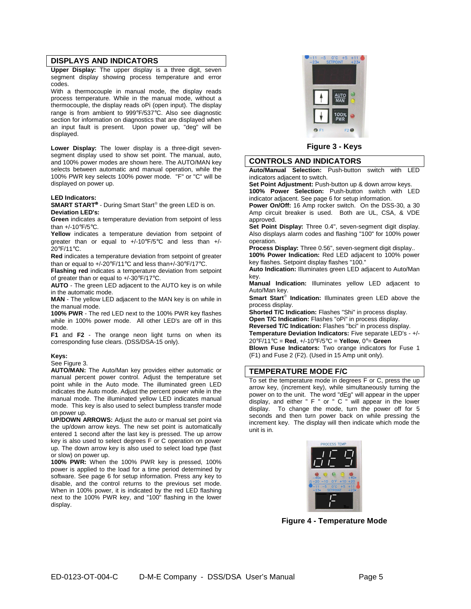#### **DISPLAYS AND INDICATORS**

**Upper Display:** The upper display is a three digit, seven segment display showing process temperature and error codes.

With a thermocouple in manual mode, the display reads process temperature. While in the manual mode, without a thermocouple, the display reads oPi (open input). The display range is from ambient to 999°F/537°C. Also see diagnostic section for information on diagnostics that are displayed when an input fault is present. Upon power up, "deg" will be displayed.

**Lower Display:** The lower display is a three-digit sevensegment display used to show set point. The manual, auto, and 100% power modes are shown here. The AUTO/MAN key selects between automatic and manual operation, while the 100% PWR key selects 100% power mode. "F" or "C" will be displayed on power up.

#### **LED Indicators:**

**SMART START<sup>®</sup>** - During Smart Start<sup>®</sup> the green LED is on. **Deviation LED's:** 

**Green** indicates a temperature deviation from setpoint of less than +/-10°F/5°C.

**Yellow** indicates a temperature deviation from setpoint of greater than or equal to  $+/-10^{\circ}F/5^{\circ}C$  and less than  $+/-$ 20°F/11°C.

**Red** indicates a temperature deviation from setpoint of greater than or equal to +/-20°F/11°C and less than+/-30°F/17°C.

**Flashing red** indicates a temperature deviation from setpoint of greater than or equal to +/-30°F/17°C.

**AUTO** - The green LED adjacent to the AUTO key is on while in the automatic mode.

**MAN** - The yellow LED adjacent to the MAN key is on while in the manual mode.

**100% PWR** - The red LED next to the 100% PWR key flashes while in 100% power mode. All other LED's are off in this mode.

**F1** and **F2** - The orange neon light turns on when its corresponding fuse clears. (DSS/DSA-15 only).

#### **Keys:**

#### See Figure 3.

**AUTO/MAN:** The Auto/Man key provides either automatic or manual percent power control. Adjust the temperature set point while in the Auto mode. The illuminated green LED indicates the Auto mode. Adjust the percent power while in the manual mode. The illuminated yellow LED indicates manual mode. This key is also used to select bumpless transfer mode on power up.

**UP/DOWN ARROWS:** Adjust the auto or manual set point via the up/down arrow keys. The new set point is automatically entered 1 second after the last key is pressed. The up arrow key is also used to select degrees F or C operation on power up. The down arrow key is also used to select load type (fast or slow) on power up.

**100% PWR:** When the 100% PWR key is pressed, 100% power is applied to the load for a time period determined by software. See page 6 for setup information. Press any key to disable, and the control returns to the previous set mode. When in 100% power, it is indicated by the red LED flashing next to the 100% PWR key, and "100" flashing in the lower display.



**Figure 3 - Keys**

#### **CONTROLS AND INDICATORS**

**Auto/Manual Selection:** Push-button switch with LED indicators adjacent to switch.

**Set Point Adjustment:** Push-button up & down arrow keys. **100% Power Selection:** Push-button switch with LED indicator adjacent. See page 6 for setup information.

**Power On/Off:** 16 Amp rocker switch. On the DSS-30, a 30 Amp circuit breaker is used. Both are UL, CSA, & VDE approved.

**Set Point Display:** Three 0.4", seven-segment digit display. Also displays alarm codes and flashing "100" for 100% power operation.

**Process Display:** Three 0.56", seven-segment digit display..

**100% Power Indication:** Red LED adjacent to 100% power key flashes. Setpoint display flashes "100."

**Auto Indication:** Illuminates green LED adjacent to Auto/Man key.

**Manual Indication:** Illuminates yellow LED adjacent to Auto/Man key.

Smart Start<sup>®</sup> Indication: Illuminates green LED above the process display.

**Shorted T/C Indication:** Flashes "Shi" in process display. **Open T/C Indication:** Flashes "oPi" in process display.

**Reversed T/C Indication:** Flashes "bci" in process display.

**Temperature Deviation Indicators:** Five separate LED's - +/-

20°F/11°C = **Red**, +/-10°F/5°C = **Yellow**, 0°= **Green Blown Fuse Indicators:** Two orange indicators for Fuse 1 (F1) and Fuse 2 (F2). (Used in 15 Amp unit only).

#### **TEMPERATURE MODE F/C**

To set the temperature mode in degrees F or C, press the up arrow key, (increment key), while simultaneously turning the power on to the unit. The word "dEg" will appear in the upper display, and either " F " or " C " will appear in the lower display. To change the mode, turn the power off for 5 seconds and then turn power back on while pressing the increment key. The display will then indicate which mode the unit is in.



**Figure 4 - Temperature Mode**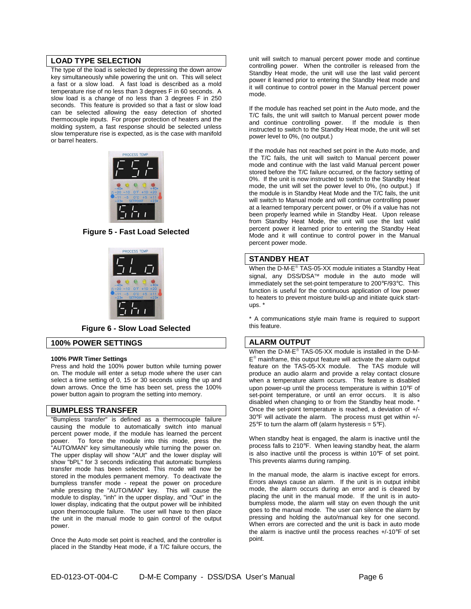#### **LOAD TYPE SELECTION**

The type of the load is selected by depressing the down arrow key simultaneously while powering the unit on. This will select a fast or a slow load. A fast load is described as a mold temperature rise of no less than 3 degrees F in 60 seconds. A slow load is a change of no less than 3 degrees F in 250 seconds. This feature is provided so that a fast or slow load can be selected allowing the easy detection of shorted thermocouple inputs. For proper protection of heaters and the molding system, a fast response should be selected unless slow temperature rise is expected, as is the case with manifold or barrel heaters.



#### **Figure 5 - Fast Load Selected**



**Figure 6 - Slow Load Selected**

#### **100% POWER SETTINGS**

#### **100% PWR Timer Settings**

Press and hold the 100% power button while turning power on. The module will enter a setup mode where the user can select a time setting of 0, 15 or 30 seconds using the up and down arrows. Once the time has been set, press the 100% power button again to program the setting into memory.

#### **BUMPLESS TRANSFER**

"Bumpless transfer" is defined as a thermocouple failure causing the module to automatically switch into manual percent power mode, if the module has learned the percent power. To force the module into this mode, press the To force the module into this mode, press the "AUTO/MAN" key simultaneously while turning the power on. The upper display will show "AUt" and the lower display will show "bPL" for 3 seconds indicating that automatic bumpless transfer mode has been selected. This mode will now be stored in the modules permanent memory. To deactivate the bumpless transfer mode - repeat the power on procedure while pressing the "AUTO/MAN" key. This will cause the module to display, "inh" in the upper display, and "Out" in the lower display, indicating that the output power will be inhibited upon thermocouple failure. The user will have to then place the unit in the manual mode to gain control of the output power.

Once the Auto mode set point is reached, and the controller is placed in the Standby Heat mode, if a T/C failure occurs, the unit will switch to manual percent power mode and continue controlling power. When the controller is released from the Standby Heat mode, the unit will use the last valid percent power it learned prior to entering the Standby Heat mode and it will continue to control power in the Manual percent power mode.

If the module has reached set point in the Auto mode, and the T/C fails, the unit will switch to Manual percent power mode and continue controlling power. If the module is then instructed to switch to the Standby Heat mode, the unit will set power level to 0%, (no output.)

If the module has not reached set point in the Auto mode, and the T/C fails, the unit will switch to Manual percent power mode and continue with the last valid Manual percent power stored before the T/C failure occurred, or the factory setting of 0%. If the unit is now instructed to switch to the Standby Heat mode, the unit will set the power level to 0%, (no output.) If the module is in Standby Heat Mode and the T/C fails, the unit will switch to Manual mode and will continue controlling power at a learned temporary percent power, or 0% if a value has not been properly learned while in Standby Heat. Upon release from Standby Heat Mode, the unit will use the last valid percent power it learned prior to entering the Standby Heat Mode and it will continue to control power in the Manual percent power mode.

#### **STANDBY HEAT**

When the D-M-E<sup>®</sup> TAS-05-XX module initiates a Standby Heat signal, any DSS/DSA™ module in the auto mode will immediately set the set-point temperature to 200°F/93°C. This function is useful for the continuous application of low power to heaters to prevent moisture build-up and initiate quick startups. \*

\* A communications style main frame is required to support this feature.

#### **ALARM OUTPUT**

When the D-M-E<sup>®</sup> TAS-05-XX module is installed in the D-M-E<sup>®</sup> mainframe, this output feature will activate the alarm output feature on the TAS-05-XX module. The TAS module will produce an audio alarm and provide a relay contact closure when a temperature alarm occurs. This feature is disabled upon power-up until the process temperature is within 10°F of set-point temperature, or until an error occurs. It is also disabled when changing to or from the Standby heat mode. Once the set-point temperature is reached, a deviation of +/- 30°F will activate the alarm. The process must get within +/- 25°F to turn the alarm off (alarm hysteresis =  $5^{\circ}$ F).

When standby heat is engaged, the alarm is inactive until the process falls to 210°F. When leaving standby heat, the alarm is also inactive until the process is within 10°F of set point. This prevents alarms during ramping.

In the manual mode, the alarm is inactive except for errors. Errors always cause an alarm. If the unit is in output inhibit mode, the alarm occurs during an error and is cleared by placing the unit in the manual mode. If the unit is in autobumpless mode, the alarm will stay on even though the unit goes to the manual mode. The user can silence the alarm by pressing and holding the auto/manual key for one second. When errors are corrected and the unit is back in auto mode the alarm is inactive until the process reaches +/-10°F of set point.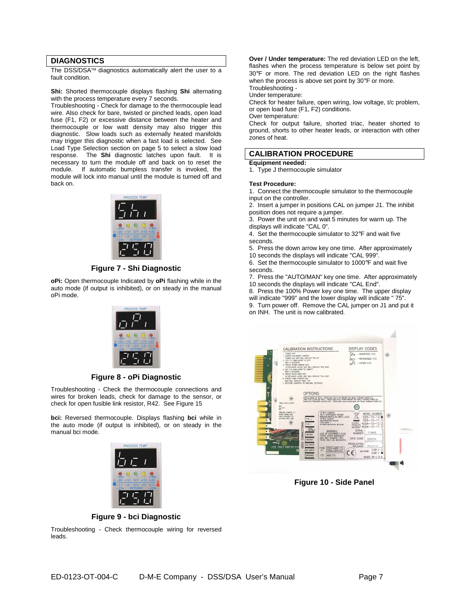#### **DIAGNOSTICS**

The DSS/DSA<sup>TM</sup> diagnostics automatically alert the user to a fault condition.

**Shi:** Shorted thermocouple displays flashing **Shi** alternating with the process temperature every 7 seconds.

Troubleshooting - Check for damage to the thermocouple lead wire. Also check for bare, twisted or pinched leads, open load fuse (F1, F2) or excessive distance between the heater and thermocouple or low watt density may also trigger this diagnostic. Slow loads such as externally heated manifolds may trigger this diagnostic when a fast load is selected. See Load Type Selection section on page 5 to select a slow load response. The **Shi** diagnostic latches upon fault. It is necessary to turn the module off and back on to reset the module. If automatic bumpless transfer is invoked, the module will lock into manual until the module is turned off and back on.



#### **Figure 7 - Shi Diagnostic**

**oPi:** Open thermocouple Indicated by **oPi** flashing while in the auto mode (if output is inhibited), or on steady in the manual oPi mode.



#### **Figure 8 - oPi Diagnostic**

Troubleshooting - Check the thermocouple connections and wires for broken leads, check for damage to the sensor, or check for open fusible link resistor, R42. See Figure 15

**bci:** Reversed thermocouple. Displays flashing **bci** while in the auto mode (if output is inhibited), or on steady in the manual bci mode.



**Over / Under temperature:** The red deviation LED on the left, flashes when the process temperature is below set point by 30°F or more. The red deviation LED on the right flashes when the process is above set point by 30°F or more. Troubleshooting -

Under temperature:

Check for heater failure, open wiring, low voltage, t/c problem, or open load fuse (F1, F2) conditions.

Over temperature:

Check for output failure, shorted triac, heater shorted to ground, shorts to other heater leads, or interaction with other zones of heat.

#### **CALIBRATION PROCEDURE**

**Equipment needed:** 

1. Type J thermocouple simulator

#### **Test Procedure:**

- 1. Connect the thermocouple simulator to the thermocouple input on the controller.
- 2. Insert a jumper in positions CAL on jumper J1. The inhibit position does not require a jumper.
- 3. Power the unit on and wait 5 minutes for warm up. The displays will indicate "CAL 0".
- 4. Set the thermocouple simulator to 32°F and wait five seconds.
- 5. Press the down arrow key one time. After approximately 10 seconds the displays will indicate "CAL 999".
- 6. Set the thermocouple simulator to 1000°F and wait five seconds.
- 7. Press the "AUTO/MAN" key one time. After approximately
- 10 seconds the displays will indicate "CAL End".
- 8. Press the 100% Power key one time. The upper display
- will indicate "999" and the lower display will indicate " 75".
- 9. Turn power off. Remove the CAL jumper on J1 and put it on INH. The unit is now calibrated.



**Figure 10 - Side Panel** 

**Figure 9 - bci Diagnostic** 

Troubleshooting - Check thermocouple wiring for reversed leads.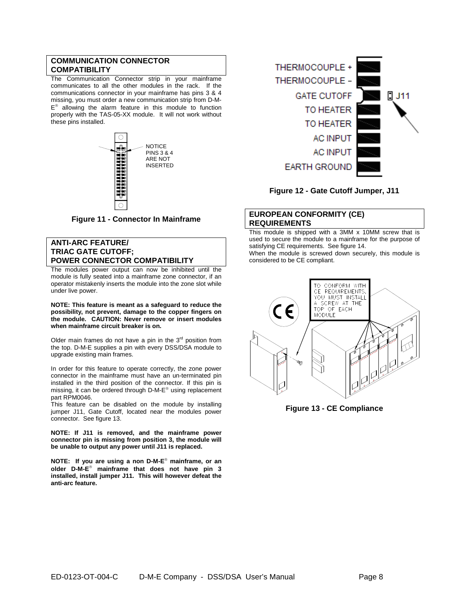#### **COMMUNICATION CONNECTOR COMPATIBILITY**

The Communication Connector strip in your mainframe communicates to all the other modules in the rack. If the communications connector in your mainframe has pins 3 & 4 missing, you must order a new communication strip from D-M-E<sup>®</sup> allowing the alarm feature in this module to function properly with the TAS-05-XX module. It will not work without these pins installed.



**Figure 11 - Connector In Mainframe** 

#### **ANTI-ARC FEATURE/ TRIAC GATE CUTOFF; POWER CONNECTOR COMPATIBILITY**

The modules power output can now be inhibited until the module is fully seated into a mainframe zone connector, if an operator mistakenly inserts the module into the zone slot while under live power.

**NOTE: This feature is meant as a safeguard to reduce the possibility, not prevent, damage to the copper fingers on the module. CAUTION: Never remove or insert modules when mainframe circuit breaker is on.** 

Older main frames do not have a pin in the  $3<sup>rd</sup>$  position from the top. D-M-E supplies a pin with every DSS/DSA module to upgrade existing main frames.

In order for this feature to operate correctly, the zone power connector in the mainframe must have an un-terminated pin installed in the third position of the connector. If this pin is missing, it can be ordered through D-M-E<sup>®</sup> using replacement part RPM0046.

This feature can be disabled on the module by installing jumper J11, Gate Cutoff, located near the modules power connector. See figure 13.

**NOTE: If J11 is removed, and the mainframe power connector pin is missing from position 3, the module will be unable to output any power until J11 is replaced.** 

**NOTE: If you are using a non D-M-E mainframe, or an older D-M-E mainframe that does not have pin 3 installed, install jumper J11. This will however defeat the anti-arc feature.** 



**Figure 12 - Gate Cutoff Jumper, J11**

#### **EUROPEAN CONFORMITY (CE) REQUIREMENTS**

This module is shipped with a 3MM x 10MM screw that is used to secure the module to a mainframe for the purpose of satisfying CE requirements. See figure 14.

When the module is screwed down securely, this module is considered to be CE compliant.



**Figure 13 - CE Compliance**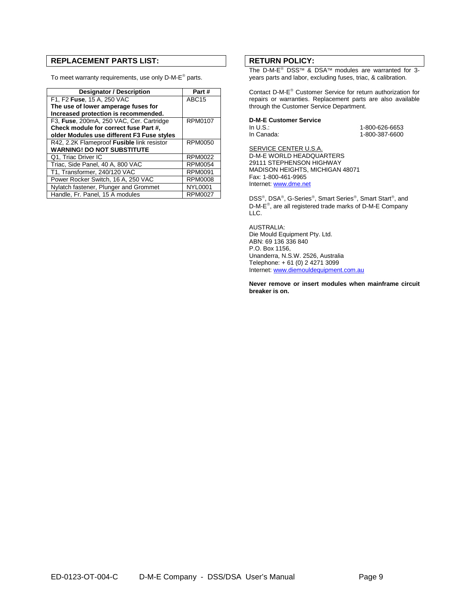#### **REPLACEMENT PARTS LIST:**

To meet warranty requirements, use only D-M-E<sup>®</sup> parts.

| <b>Designator / Description</b>            | Part#             |
|--------------------------------------------|-------------------|
| F1, F2 Fuse, 15 A, 250 VAC                 | ABC <sub>15</sub> |
| The use of lower amperage fuses for        |                   |
| Increased protection is recommended.       |                   |
| F3, Fuse, 200mA, 250 VAC, Cer. Cartridge   | RPM0107           |
| Check module for correct fuse Part #,      |                   |
| older Modules use different F3 Fuse styles |                   |
| R42, 2.2K Flameproof Fusible link resistor | RPM0050           |
| <b>WARNING! DO NOT SUBSTITUTE</b>          |                   |
| Q1, Triac Driver IC                        | <b>RPM0022</b>    |
| Triac, Side Panel, 40 A, 800 VAC           | <b>RPM0054</b>    |
| T1, Transformer, 240/120 VAC               | <b>RPM0091</b>    |
| Power Rocker Switch, 16 A, 250 VAC         | RPM0008           |
| Nylatch fastener, Plunger and Grommet      | <b>NYL0001</b>    |
| Handle, Fr. Panel, 15 A modules            | RPM0027           |

#### **RETURN POLICY:**

The D-M-E<sup>®</sup> DSS™ & DSA™ modules are warranted for 3years parts and labor, excluding fuses, triac, & calibration.

Contact D-M-E Customer Service for return authorization for repairs or warranties. Replacement parts are also available through the Customer Service Department.

#### **D-M-E Customer Service**

In U.S.: 1-800-626-6653 1-800-387-6600

SERVICE CENTER U.S.A. D-M-E WORLD HEADQUARTERS 29111 STEPHENSON HIGHWAY MADISON HEIGHTS, MICHIGAN 48071 Fax: 1-800-461-9965 Internet: www.dme.net

DSS®, DSA®, G-Series®, Smart Series®, Smart Start®, and D-M-E<sup>®</sup>, are all registered trade marks of D-M-E Company LLC.

AUSTRALIA: Die Mould Equipment Pty. Ltd. ABN: 69 136 336 840 P.O. Box 1156, Unanderra, N.S.W. 2526, Australia Telephone: + 61 (0) 2 4271 3099 Internet: www.diemouldequipment.com.au

**Never remove or insert modules when mainframe circuit breaker is on.**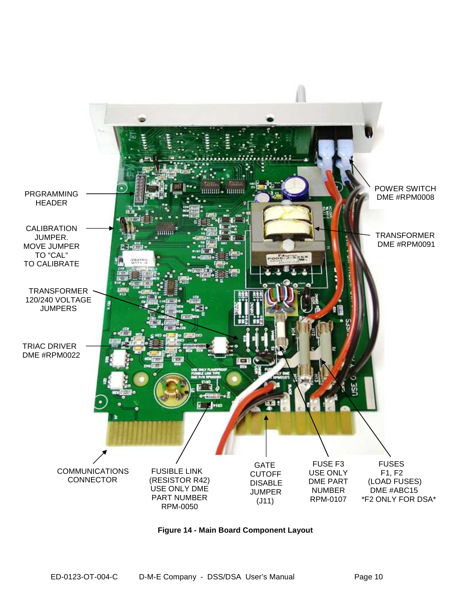